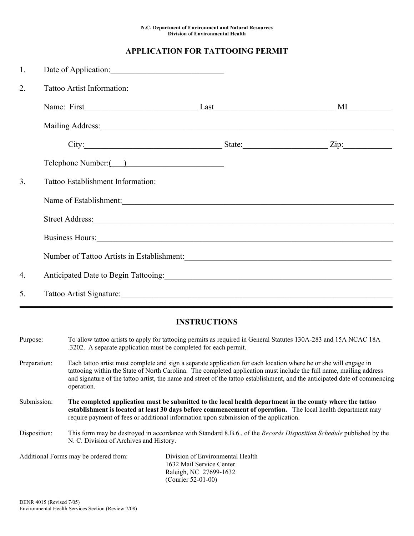## **APPLICATION FOR TATTOOING PERMIT**

| 1. | Date of Application:                                                                                                                                                                                                           |  |
|----|--------------------------------------------------------------------------------------------------------------------------------------------------------------------------------------------------------------------------------|--|
| 2. | Tattoo Artist Information:                                                                                                                                                                                                     |  |
|    | Name: First MI                                                                                                                                                                                                                 |  |
|    | Mailing Address: National Address: National Address: National Address: National Address: National Address: National Address: National Address: National Address: National Address: National Address: National Address: Nationa |  |
|    | City: $\qquad \qquad \qquad$ State: $\qquad \qquad$ Zip:                                                                                                                                                                       |  |
|    |                                                                                                                                                                                                                                |  |
| 3. | Tattoo Establishment Information:                                                                                                                                                                                              |  |
|    | Name of Establishment:                                                                                                                                                                                                         |  |
|    |                                                                                                                                                                                                                                |  |
|    | Business Hours: 1988. The Manual Community of the Manual Community of the Manual Community of the Manual Community of the Manual Community of the Manual Community of the Manual Community of the Manual Community of the Manu |  |
|    | Number of Tattoo Artists in Establishment: Manual Article of Tattoo Artists in Establishment:                                                                                                                                  |  |
| 4. |                                                                                                                                                                                                                                |  |
| 5. |                                                                                                                                                                                                                                |  |

## **INSTRUCTIONS**

- Purpose: To allow tattoo artists to apply for tattooing permits as required in General Statutes 130A-283 and 15A NCAC 18A .3202. A separate application must be completed for each permit.
- Preparation: Each tattoo artist must complete and sign a separate application for each location where he or she will engage in tattooing within the State of North Carolina. The completed application must include the full name, mailing address and signature of the tattoo artist, the name and street of the tattoo establishment, and the anticipated date of commencing operation.
- Submission: **The completed application must be submitted to the local health department in the county where the tattoo establishment is located at least 30 days before commencement of operation.** The local health department may require payment of fees or additional information upon submission of the application.
- Disposition: This form may be destroyed in accordance with Standard 8.B.6., of the *Records Disposition Schedule* published by the N. C. Division of Archives and History.

| Additional Forms may be ordered from: | Division of Environmental Health |  |
|---------------------------------------|----------------------------------|--|
|                                       | 1632 Mail Service Center         |  |
|                                       | Raleigh, NC 27699-1632           |  |
|                                       | (Courier $52-01-00$ )            |  |